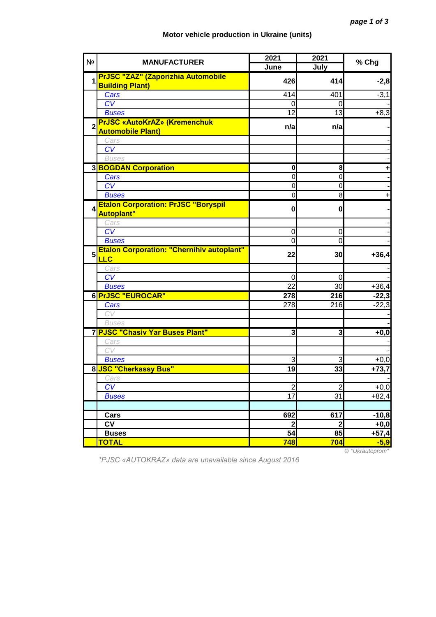## **Motor vehicle production in Ukraine (units)**

| N <sub>2</sub>   | <b>MANUFACTURER</b>                                             | 2021            | 2021                    | % Chg                   |
|------------------|-----------------------------------------------------------------|-----------------|-------------------------|-------------------------|
|                  |                                                                 | June            | July                    |                         |
| 1                | PrJSC "ZAZ" (Zaporizhia Automobile                              | 426             | 414                     | $-2,8$                  |
|                  | <b>Building Plant)</b>                                          |                 |                         |                         |
|                  | Cars                                                            | 414             | 401                     | $-3,1$                  |
|                  | CV                                                              | 0               | 0                       |                         |
|                  | <b>Buses</b>                                                    | 12              | 13                      | $+8,3$                  |
|                  | <b>PrJSC «AutoKrAZ» (Kremenchuk</b><br><b>Automobile Plant)</b> | n/a             | n/a                     |                         |
|                  | Cars                                                            |                 |                         |                         |
|                  | CV                                                              |                 |                         |                         |
|                  | <b>Buses</b>                                                    |                 |                         |                         |
|                  | <b>3 BOGDAN Corporation</b>                                     | 0               | 8                       | ٠                       |
|                  | Cars                                                            | $\mathbf 0$     | $\mathbf 0$             |                         |
|                  | CV                                                              | $\mathbf 0$     | $\overline{0}$          |                         |
|                  | <b>Buses</b>                                                    | $\mathbf 0$     | 8                       | $\ddot{}$               |
| $\boldsymbol{4}$ | <b>Etalon Corporation: PrJSC "Boryspil</b><br><b>Autoplant"</b> | $\mathbf{0}$    | $\mathbf{0}$            |                         |
|                  | Cars                                                            |                 |                         |                         |
|                  | $\overline{CV}$                                                 | $\mathbf 0$     | $\mathbf 0$             |                         |
|                  | <b>Buses</b>                                                    | $\overline{0}$  | O                       |                         |
| $5\phantom{.}$   | <b>Etalon Corporation: "Chernihiv autoplant"</b><br><b>LLC</b>  | 22              | 30                      | $+36,4$                 |
|                  | Cars                                                            |                 |                         |                         |
|                  | $\overline{\text{CV}}$                                          | 0               | 0                       |                         |
|                  | <b>Buses</b>                                                    | 22              | 30                      | $+36,4$                 |
|                  | 6 PrJSC "EUROCAR"                                               | 278             | 216                     | $-22,3$                 |
|                  | Cars                                                            | 278             | 216                     | $-22,3$                 |
|                  | CV                                                              |                 |                         |                         |
|                  | <b>Buses</b>                                                    |                 |                         |                         |
|                  | 7 PJSC "Chasiv Yar Buses Plant"                                 | دى              | دى                      | $+0,0$                  |
|                  | Cars                                                            |                 |                         |                         |
|                  | CV                                                              |                 |                         |                         |
|                  | <b>Buses</b>                                                    | 3               | 3                       | $+0,0$                  |
|                  | 8 JSC "Cherkassy Bus"                                           | 19              | 33                      | $+73,7$                 |
|                  | Cars                                                            |                 |                         |                         |
|                  | CV                                                              | $\overline{2}$  | $\overline{c}$          | $+0,0$                  |
|                  | <b>Buses</b>                                                    | $\overline{17}$ | 31                      | $+82,4$                 |
|                  |                                                                 |                 |                         |                         |
|                  | Cars                                                            | 692             | 617                     | $-10,8$                 |
|                  | <b>CV</b>                                                       | $\mathbf{2}$    | $\overline{\mathbf{c}}$ | $+0,0$                  |
|                  | <b>Buses</b>                                                    | $\overline{54}$ | 85                      |                         |
|                  | <b>TOTAL</b>                                                    | 748             | 704                     | $+57,4$<br>$-5,9$       |
|                  |                                                                 |                 |                         | $\odot$ "Illerautoprom" |

*\*PJSC «AUTOKRAZ» data are unavailable since August 2016*

© *"Ukrautoprom"*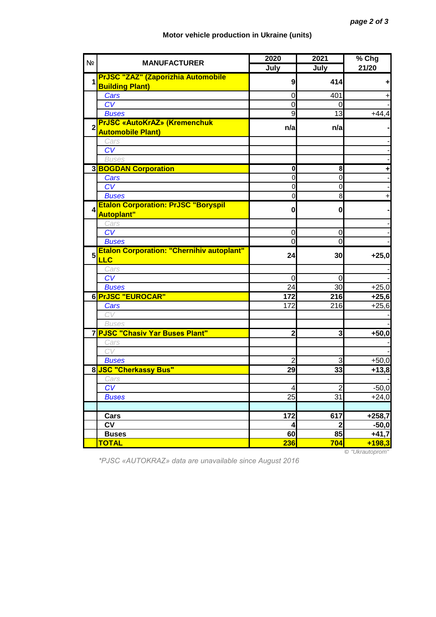## **Motor vehicle production in Ukraine (units)**

| N <sub>2</sub>   | <b>MANUFACTURER</b>                                             | 2020                    | 2021                    | $%$ Chg  |
|------------------|-----------------------------------------------------------------|-------------------------|-------------------------|----------|
|                  |                                                                 | July                    | July                    | 21/20    |
| 1                | <b>PrJSC "ZAZ" (Zaporizhia Automobile</b>                       | 9                       | 414                     | ٠        |
|                  | <b>Building Plant)</b>                                          |                         |                         |          |
|                  | Cars                                                            | 0                       | 401                     | +        |
|                  | CV                                                              | $\mathbf 0$             | 0                       |          |
|                  | <b>Buses</b>                                                    | 9                       | 13                      | $+44,4$  |
| $\overline{2}$   | <b>PrJSC «AutoKrAZ» (Kremenchuk</b><br><b>Automobile Plant)</b> | n/a                     | n/a                     |          |
|                  | Cars                                                            |                         |                         |          |
|                  | CV                                                              |                         |                         |          |
|                  | <b>Buses</b>                                                    |                         |                         |          |
|                  | <b>3 BOGDAN Corporation</b>                                     | $\mathbf 0$             | 8                       | ٠        |
|                  | Cars                                                            | $\mathbf 0$             | $\mathbf 0$             |          |
|                  | CV                                                              | $\mathbf 0$             | $\mathbf 0$             |          |
|                  | <b>Buses</b>                                                    | $\mathbf 0$             | 8                       |          |
| $\boldsymbol{4}$ | <b>Etalon Corporation: PrJSC "Boryspil</b><br><b>Autoplant"</b> | $\mathbf{0}$            | 0                       |          |
|                  | Cars                                                            |                         |                         |          |
|                  | $\overline{\text{CV}}$                                          | $\mathbf 0$             | $\mathbf 0$             |          |
|                  | <b>Buses</b>                                                    | $\overline{0}$          | $\overline{0}$          |          |
| 5                | <b>Etalon Corporation: "Chernihiv autoplant"</b><br><b>LLC</b>  | 24                      | 30                      | $+25,0$  |
|                  | Cars                                                            |                         |                         |          |
|                  | CV                                                              | 0                       | $\Omega$                |          |
|                  | <b>Buses</b>                                                    | 24                      | 30                      | $+25,0$  |
|                  | 6 PrJSC "EUROCAR"                                               | 172                     | 216                     | $+25,6$  |
|                  | Cars                                                            | 172                     | 216                     | $+25,6$  |
|                  | CV                                                              |                         |                         |          |
|                  | <b>Buses</b>                                                    |                         |                         |          |
|                  | 7 PJSC "Chasiv Yar Buses Plant"                                 | $\overline{\mathbf{c}}$ | $\overline{\mathbf{3}}$ | $+50,0$  |
|                  | Cars                                                            |                         |                         |          |
|                  | CV                                                              |                         |                         |          |
|                  | <b>Buses</b>                                                    | 2                       | 3                       | $+50,0$  |
|                  | 8 JSC "Cherkassy Bus"                                           | 29                      | 33                      | $+13,8$  |
|                  | Cars                                                            |                         |                         |          |
|                  | CV                                                              | 4                       | $\overline{2}$          | $-50,0$  |
|                  | <b>Buses</b>                                                    | 25                      | 31                      | $+24,0$  |
|                  |                                                                 |                         |                         |          |
|                  | Cars                                                            | $\overline{172}$        | 617                     | $+258,7$ |
|                  | <b>CV</b>                                                       | 4                       | $\overline{2}$          | $-50,0$  |
|                  | <b>Buses</b>                                                    | 60                      | 85                      | $+41,7$  |
|                  | <b>TOTAL</b>                                                    | <b>236</b>              | 704                     | $+198,3$ |

*\*PJSC «AUTOKRAZ» data are unavailable since August 2016*

© *"Ukrautoprom"*